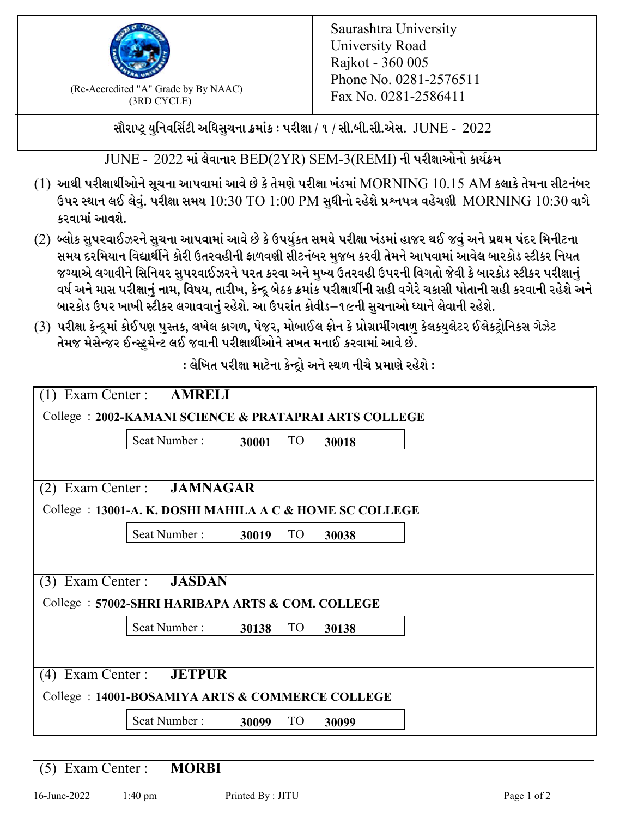

 $F_{\text{R}}$  (Re-Accredited "A" Grade by By NAAC)<br>(3PD CVCLE)<br> $F_{\text{R}}$  No. 0281-2586411 (3RD CYCLE)

સૌરાષ્ટ્ર યુનિવર્સિટી અધિસુચના ક્રમાંક : પરીક્ષા / ૧ / સી.બી.સી.એસ.  $\,$  JUNE -  $\,2022$ 

 $JUNE - 2022$  માં લેવાનાર  $BED(2YR)$   $SEM-3(REMI)$  ની પરીક્ષાઓનો કાર્યક્રમ

- $(1)$  આથી પરીક્ષાર્થીઓને સૂચના આપવામાં આવે છે કે તેમણે પરીક્ષા ખંડમાં  $\operatorname{MORNING}$   $10.15$   $\operatorname{AM}$  કલાકે તેમના સીટનંબર ઉપર સ્થાન લઈ લેવું. પરીક્ષા સમય  $10:30 \text{ TO } 1:00 \text{ PM}$  સુધીનો રહેશે પ્રશ્નપત્ર વહેચણી  $\text{MORNING } 10:30$  વાગે કરવામાં આવશે.
- (2) બ્લોક સુપરવાઈઝરને સુચના આપવામાં આવે છે કે ઉપર્યુકત સમયે પરીક્ષા ખંડમાં હાજર થઈ જવું અને પ્રથમ પંદર મિનીટના સમય દરમિયાન વિદ્યાર્થીને કોરી ઉતરવહીની ફાળવણી સીટનંબર મજબ કરવી તેમને આપવામાં આવેલ બારકોડ સ્ટીકર નિયત જગ્યાએ લગાવીને સિનિયર સુપરવાઈઝરને પરત કરવા અને મુખ્ય ઉતરવહી ઉપરની વિગતો જેવી કે બારકોડ સ્ટીકર પરીક્ષ<u>ાન</u>ં વર્ષ અને માસ પરીક્ષાનું નામ, વિષય, તારીખ, કેન્દ્ર બેઠક ક્રમાંક પરીક્ષાર્થીની સહી વગેરે ચકાસી પોતાની સહી કરવાની રહેશે અને બારકોડ ઉપર ખાખી સ્ટીકર લગાવવાનં રહેશે. આ ઉપરાંત કોવીડ–૧૯ની સચનાઓ ધ્યાને લેવાની રહેશે.
- (3) પરીક્ષા કેન્દ્રમાં કોઈપણ પુસ્તક, લખેલ કાગળ, પેજર, મોબાઈલ ફોન કે પ્રોગ્રામીંગવાળુ કેલકયુલેટર ઈલેકટ્રોનિકસ ગેઝેટ તેમજ મેસેન્જર ઈન્સ્ટમેન્ટ લઈ જવાની પરીક્ષાર્થીઓને સખત મનાઈ કરવામાં આવે છે.

: લેખિત પરીક્ષા માટેના કેન્દ્રો અને સ્થળ નીચે પ્રમાણે રહેશે :

|                     | $(1)$ Exam Center : <b>AMRELI</b>                        |                          |       |  |
|---------------------|----------------------------------------------------------|--------------------------|-------|--|
|                     | College: 2002-KAMANI SCIENCE & PRATAPRAI ARTS COLLEGE    |                          |       |  |
|                     | Seat Number:                                             | TO<br>30001              | 30018 |  |
| (2)                 | Exam Center : JAMNAGAR                                   |                          |       |  |
|                     | College : 13001-A. K. DOSHI MAHILA A C & HOME SC COLLEGE |                          |       |  |
|                     | Seat Number:                                             | TO<br>30019              | 30038 |  |
|                     |                                                          |                          |       |  |
|                     | (3) Exam Center : <b>JASDAN</b>                          |                          |       |  |
|                     | College: 57002-SHRI HARIBAPA ARTS & COM. COLLEGE         |                          |       |  |
|                     | Seat Number:                                             | TO<br>30138              | 30138 |  |
|                     |                                                          |                          |       |  |
| $(4)$ Exam Center : | <b>JETPUR</b>                                            |                          |       |  |
|                     | College: 14001-BOSAMIYA ARTS & COMMERCE COLLEGE          |                          |       |  |
|                     | Seat Number:                                             | TO <sub>1</sub><br>30099 | 30099 |  |

(5) Exam Center : **MORBI**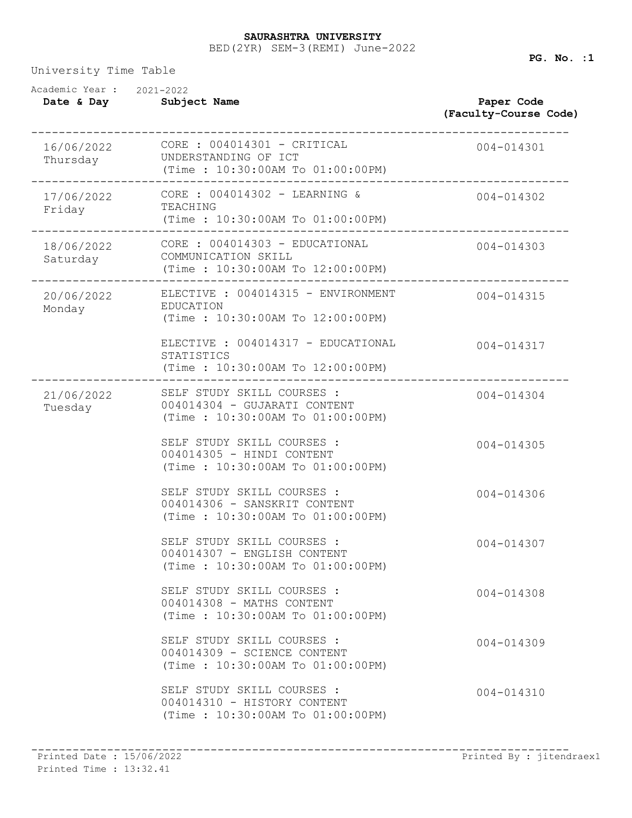## BED(2YR) SEM-3(REMI) June-2022 **SAURASHTRA UNIVERSITY**

University Time Table

| Academic Year: 2021-2022<br>Date & Day | Subject Name                                                                                    | Paper Code<br>(Faculty-Course Code) |
|----------------------------------------|-------------------------------------------------------------------------------------------------|-------------------------------------|
| 16/06/2022<br>Thursday                 | $CORE: 004014301 - CRITICAL$<br>UNDERSTANDING OF ICT<br>(Time: 10:30:00AM To 01:00:00PM)        | 004-014301                          |
| 17/06/2022<br>Friday                   | CORE : 004014302 - LEARNING &<br>TEACHING<br>$(Time : 10:30:00AM$ To $01:00:00PM)$              | 004-014302                          |
| 18/06/2022<br>Saturday                 | CORE : 004014303 - EDUCATIONAL<br>COMMUNICATION SKILL<br>(Time: 10:30:00AM To 12:00:00PM)       | 004-014303                          |
| 20/06/2022<br>Monday                   | ELECTIVE : 004014315 - ENVIRONMENT<br>EDUCATION<br>(Time: 10:30:00AM To 12:00:00PM)             | 004-014315                          |
|                                        | ELECTIVE : 004014317 - EDUCATIONAL<br>STATISTICS<br>(Time: 10:30:00AM To 12:00:00PM)            | 004-014317                          |
| 21/06/2022<br>Tuesday                  | SELF STUDY SKILL COURSES :<br>004014304 - GUJARATI CONTENT<br>(Time : 10:30:00AM To 01:00:00PM) | 004-014304                          |
|                                        | SELF STUDY SKILL COURSES :<br>004014305 - HINDI CONTENT<br>(Time: 10:30:00AM To 01:00:00PM)     | 004-014305                          |
|                                        | SELF STUDY SKILL COURSES :<br>004014306 - SANSKRIT CONTENT<br>(Time : 10:30:00AM To 01:00:00PM) | 004-014306                          |
|                                        | SELF STUDY SKILL COURSES :<br>004014307 - ENGLISH CONTENT<br>(Time: 10:30:00AM To 01:00:00PM)   | 004-014307                          |
|                                        | SELF STUDY SKILL COURSES :<br>004014308 - MATHS CONTENT<br>(Time: 10:30:00AM To 01:00:00PM)     | $004 - 014308$                      |
|                                        | SELF STUDY SKILL COURSES :<br>004014309 - SCIENCE CONTENT<br>(Time: 10:30:00AM To 01:00:00PM)   | $004 - 014309$                      |
|                                        | SELF STUDY SKILL COURSES :<br>004014310 - HISTORY CONTENT<br>(Time: 10:30:00AM To 01:00:00PM)   | 004-014310                          |
|                                        |                                                                                                 |                                     |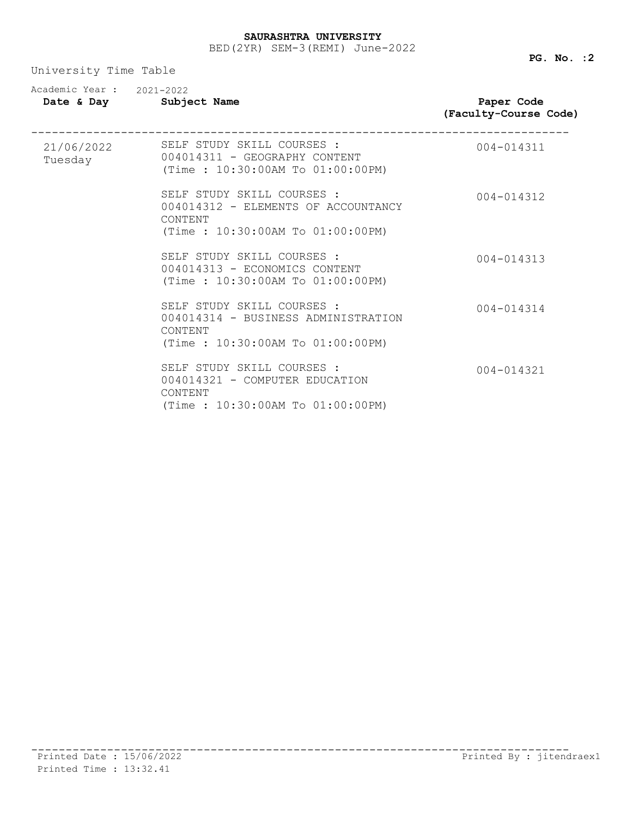University Time Table

| Academic Year: 2021-2022 | Date & Day Subject Name                                                                                          | Paper Code<br>(Faculty-Course Code) |
|--------------------------|------------------------------------------------------------------------------------------------------------------|-------------------------------------|
| Tuesday                  | 21/06/2022 SELF STUDY SKILL COURSES :<br>004014311 - GEOGRAPHY CONTENT<br>(Time: 10:30:00AM To 01:00:00PM)       | 004-014311                          |
|                          | SELF STUDY SKILL COURSES :<br>004014312 - ELEMENTS OF ACCOUNTANCY<br>CONTENT<br>(Time: 10:30:00AM To 01:00:00PM) | 004-014312                          |
|                          | SELF STUDY SKILL COURSES :<br>004014313 - ECONOMICS CONTENT<br>(Time: 10:30:00AM To 01:00:00PM)                  | $004 - 014313$                      |
|                          | SELF STUDY SKILL COURSES :<br>004014314 - BUSINESS ADMINISTRATION<br>CONTENT<br>(Time: 10:30:00AM To 01:00:00PM) | $004 - 014314$                      |
|                          | SELF STUDY SKILL COURSES :<br>004014321 - COMPUTER EDUCATION<br>CONTENT<br>(Time: 10:30:00AM To 01:00:00PM)      | $004 - 014321$                      |

**PG. No. :2**